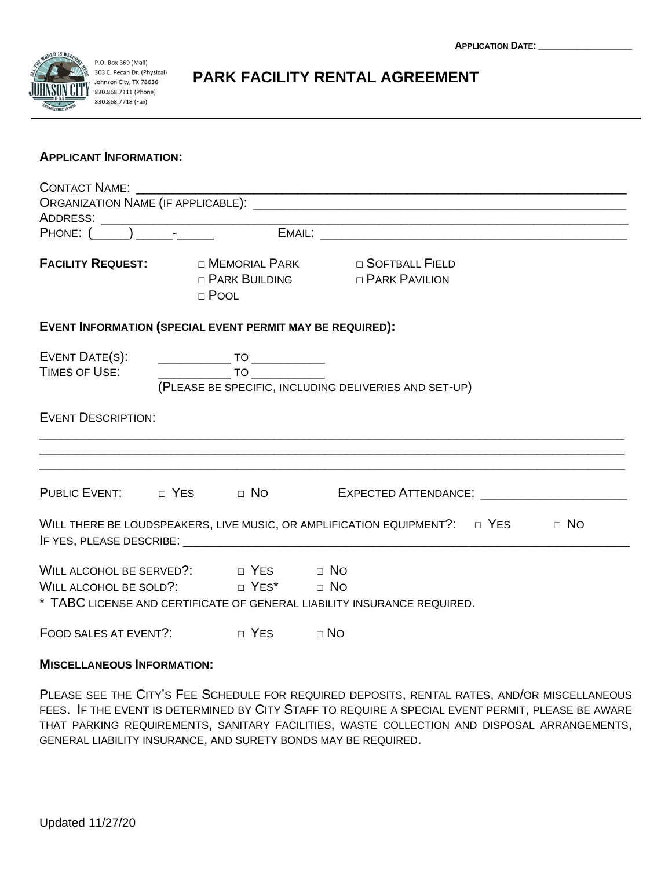

## **PARK FACILITY RENTAL AGREEMENT**

## **APPLICANT INFORMATION:**

| FACILITY REQUEST: $\square$ MEMORIAL PARK $\square$ SOFTBALL FIELD |             |                                                                                           |  |
|--------------------------------------------------------------------|-------------|-------------------------------------------------------------------------------------------|--|
|                                                                    |             | O PARK BUILDING O PARK PAVILION                                                           |  |
|                                                                    | $\Box$ Pool |                                                                                           |  |
| EVENT INFORMATION (SPECIAL EVENT PERMIT MAY BE REQUIRED):          |             |                                                                                           |  |
|                                                                    |             |                                                                                           |  |
| EVENT DATE(S):                                                     |             |                                                                                           |  |
| TIMES OF USE:                                                      |             |                                                                                           |  |
|                                                                    |             | (PLEASE BE SPECIFIC, INCLUDING DELIVERIES AND SET-UP)                                     |  |
| <b>EVENT DESCRIPTION:</b>                                          |             |                                                                                           |  |
|                                                                    |             |                                                                                           |  |
|                                                                    |             |                                                                                           |  |
|                                                                    |             | PUBLIC EVENT: $\Box$ YES $\Box$ NO EXPECTED ATTENDANCE: _____________________________     |  |
|                                                                    |             |                                                                                           |  |
|                                                                    |             | WILL THERE BE LOUDSPEAKERS, LIVE MUSIC, OR AMPLIFICATION EQUIPMENT?: $\Box$ YES $\Box$ NO |  |
|                                                                    |             |                                                                                           |  |
| WILL ALCOHOL BE SERVED?: $\Box$ YES $\Box$ NO                      |             |                                                                                           |  |
| WILL ALCOHOL BE SOLD?: $\Box$ YES* $\Box$ NO                       |             |                                                                                           |  |
|                                                                    |             | * TABC LICENSE AND CERTIFICATE OF GENERAL LIABILITY INSURANCE REQUIRED.                   |  |
| FOOD SALES AT EVENT?: $\Box$ YES $\Box$ NO                         |             |                                                                                           |  |

## **MISCELLANEOUS INFORMATION:**

PLEASE SEE THE CITY'S FEE SCHEDULE FOR REQUIRED DEPOSITS, RENTAL RATES, AND/OR MISCELLANEOUS FEES. IF THE EVENT IS DETERMINED BY CITY STAFF TO REQUIRE A SPECIAL EVENT PERMIT, PLEASE BE AWARE THAT PARKING REQUIREMENTS, SANITARY FACILITIES, WASTE COLLECTION AND DISPOSAL ARRANGEMENTS, GENERAL LIABILITY INSURANCE, AND SURETY BONDS MAY BE REQUIRED.